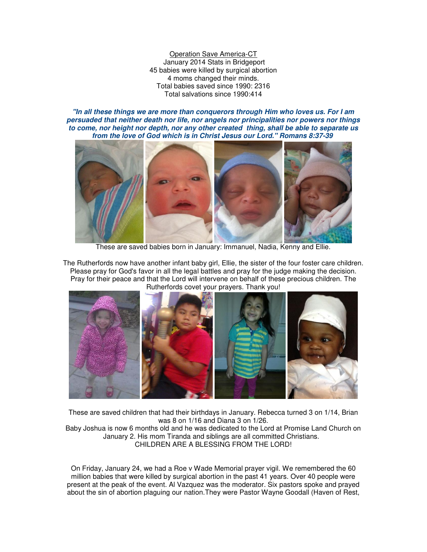Operation Save America-CT January 2014 Stats in Bridgeport 45 babies were killed by surgical abortion 4 moms changed their minds. Total babies saved since 1990: 2316 Total salvations since 1990:414

*"In all these things we are more than conquerors through Him who loves us. For I am persuaded that neither death nor life, nor angels nor principalities nor powers nor things to come, nor height nor depth, nor any other created thing, shall be able to separate us from the love of God which is in Christ Jesus our Lord." Romans 8:37-39*



These are saved babies born in January: Immanuel, Nadia, Kenny and Ellie.

The Rutherfords now have another infant baby girl, Ellie, the sister of the four foster care children. Please pray for God's favor in all the legal battles and pray for the judge making the decision. Pray for their peace and that the Lord will intervene on behalf of these precious children. The Rutherfords covet your prayers. Thank you!



These are saved children that had their birthdays in January. Rebecca turned 3 on 1/14, Brian was 8 on 1/16 and Diana 3 on 1/26.

Baby Joshua is now 6 months old and he was dedicated to the Lord at Promise Land Church on January 2. His mom Tiranda and siblings are all committed Christians. CHILDREN ARE A BLESSING FROM THE LORD!

On Friday, January 24, we had a Roe v Wade Memorial prayer vigil. We remembered the 60 million babies that were killed by surgical abortion in the past 41 years. Over 40 people were present at the peak of the event. Al Vazquez was the moderator. Six pastors spoke and prayed about the sin of abortion plaguing our nation.They were Pastor Wayne Goodall (Haven of Rest,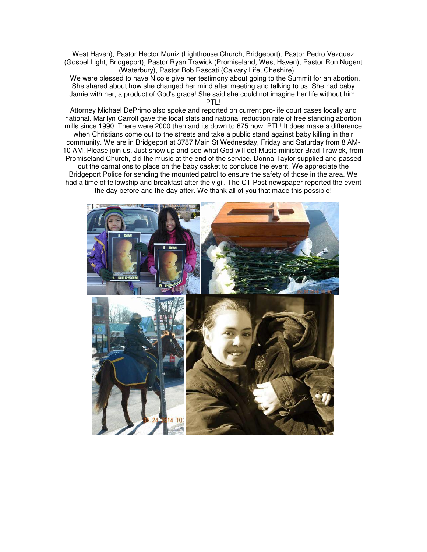West Haven), Pastor Hector Muniz (Lighthouse Church, Bridgeport), Pastor Pedro Vazquez (Gospel Light, Bridgeport), Pastor Ryan Trawick (Promiseland, West Haven), Pastor Ron Nugent (Waterbury), Pastor Bob Rascati (Calvary Life, Cheshire).

We were blessed to have Nicole give her testimony about going to the Summit for an abortion. She shared about how she changed her mind after meeting and talking to us. She had baby Jamie with her, a product of God's grace! She said she could not imagine her life without him.

PTLI

Attorney Michael DePrimo also spoke and reported on current pro-life court cases locally and national. Marilyn Carroll gave the local stats and national reduction rate of free standing abortion mills since 1990. There were 2000 then and its down to 675 now. PTL! It does make a difference

when Christians come out to the streets and take a public stand against baby killing in their community. We are in Bridgeport at 3787 Main St Wednesday, Friday and Saturday from 8 AM-10 AM. Please join us, Just show up and see what God will do! Music minister Brad Trawick, from Promiseland Church, did the music at the end of the service. Donna Taylor supplied and passed out the carnations to place on the baby casket to conclude the event. We appreciate the Bridgeport Police for sending the mounted patrol to ensure the safety of those in the area. We had a time of fellowship and breakfast after the vigil. The CT Post newspaper reported the event

the day before and the day after. We thank all of you that made this possible!